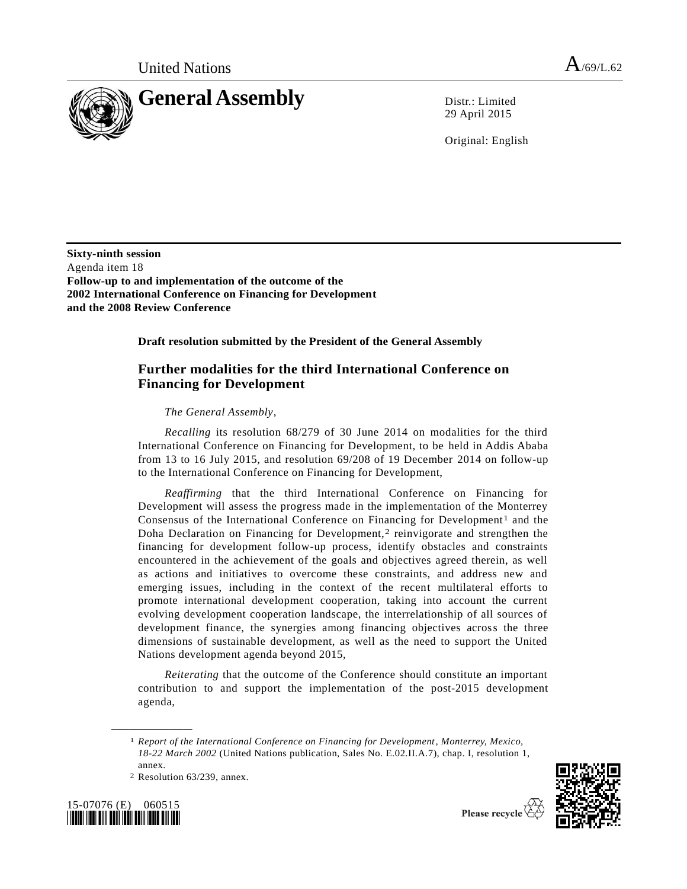

29 April 2015

Original: English

**Sixty-ninth session** Agenda item 18 **Follow-up to and implementation of the outcome of the 2002 International Conference on Financing for Development and the 2008 Review Conference**

**Draft resolution submitted by the President of the General Assembly** 

## **Further modalities for the third International Conference on Financing for Development**

*The General Assembly*,

*Recalling* its resolution 68/279 of 30 June 2014 on modalities for the third International Conference on Financing for Development, to be held in Addis Ababa from 13 to 16 July 2015, and resolution 69/208 of 19 December 2014 on follow-up to the International Conference on Financing for Development,

*Reaffirming* that the third International Conference on Financing for Development will assess the progress made in the implementation of the Monterrey Consensus of the International Conference on Financing for Development<sup>1</sup> and the Doha Declaration on Financing for Development,<sup>2</sup> reinvigorate and strengthen the financing for development follow-up process, identify obstacles and constraints encountered in the achievement of the goals and objectives agreed therein, as well as actions and initiatives to overcome these constraints, and address new and emerging issues, including in the context of the recent multilateral efforts to promote international development cooperation, taking into account the current evolving development cooperation landscape, the interrelationship of all sources of development finance, the synergies among financing objectives across the three dimensions of sustainable development, as well as the need to support the United Nations development agenda beyond 2015,

*Reiterating* that the outcome of the Conference should constitute an important contribution to and support the implementation of the post-2015 development agenda,

<sup>2</sup> Resolution 63/239, annex.



**\_\_\_\_\_\_\_\_\_\_\_\_\_\_\_\_\_\_**



Please recycle  $\vec{Q}$ 

<sup>1</sup> *Report of the International Conference on Financing for Development, Monterrey, Mexico, 18-22 March 2002* (United Nations publication, Sales No. E.02.II.A.7), chap. I, resolution 1, annex.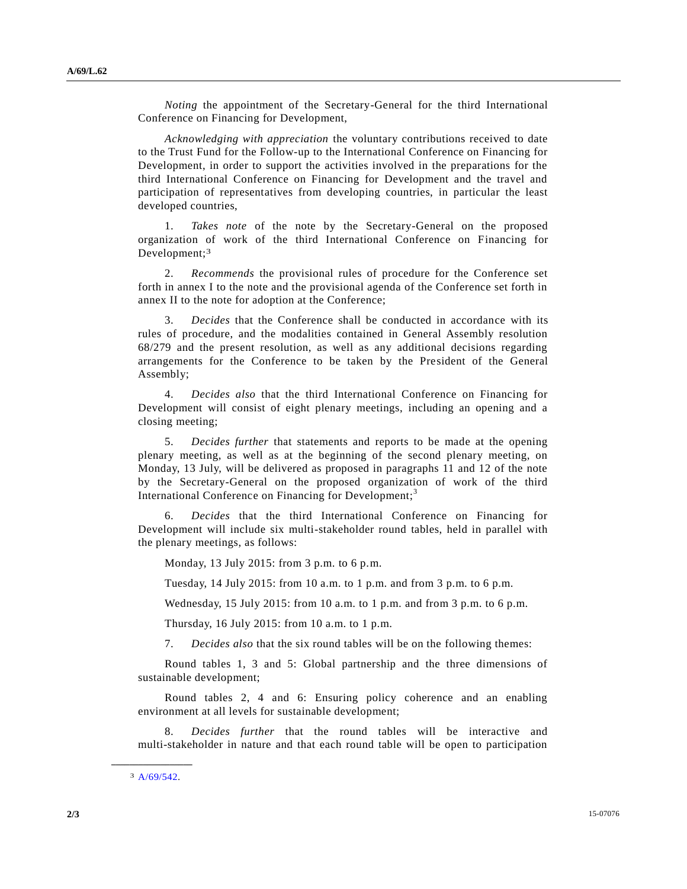*Noting* the appointment of the Secretary-General for the third International Conference on Financing for Development,

*Acknowledging with appreciation* the voluntary contributions received to date to the Trust Fund for the Follow-up to the International Conference on Financing for Development, in order to support the activities involved in the preparations for the third International Conference on Financing for Development and the travel and participation of representatives from developing countries, in particular the least developed countries,

1. *Takes note* of the note by the Secretary-General on the proposed organization of work of the third International Conference on Financing for Development;<sup>3</sup>

2. *Recommends* the provisional rules of procedure for the Conference set forth in annex I to the note and the provisional agenda of the Conference set forth in annex II to the note for adoption at the Conference;

3. *Decides* that the Conference shall be conducted in accordance with its rules of procedure, and the modalities contained in General Assembly resolution 68/279 and the present resolution, as well as any additional decisions regarding arrangements for the Conference to be taken by the President of the General Assembly;

4. *Decides also* that the third International Conference on Financing for Development will consist of eight plenary meetings, including an opening and a closing meeting;

5. *Decides further* that statements and reports to be made at the opening plenary meeting, as well as at the beginning of the second plenary meeting, on Monday, 13 July, will be delivered as proposed in paragraphs 11 and 12 of the note by the Secretary-General on the proposed organization of work of the third International Conference on Financing for Development;<sup>3</sup>

6. *Decides* that the third International Conference on Financing for Development will include six multi-stakeholder round tables, held in parallel with the plenary meetings, as follows:

Monday, 13 July 2015: from 3 p.m. to 6 p.m.

Tuesday, 14 July 2015: from 10 a.m. to 1 p.m. and from 3 p.m. to 6 p.m.

Wednesday, 15 July 2015: from 10 a.m. to 1 p.m. and from 3 p.m. to 6 p.m.

Thursday, 16 July 2015: from 10 a.m. to 1 p.m.

7. *Decides also* that the six round tables will be on the following themes:

Round tables 1, 3 and 5: Global partnership and the three dimensions of sustainable development;

Round tables 2, 4 and 6: Ensuring policy coherence and an enabling environment at all levels for sustainable development;

8. *Decides further* that the round tables will be interactive and multi-stakeholder in nature and that each round table will be open to participation

**\_\_\_\_\_\_\_\_\_\_\_\_\_\_\_\_\_\_** 3 [A/69/542.](http://undocs.org/A/69/542)